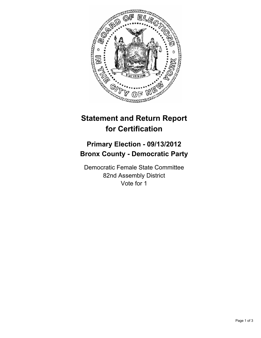

## **Statement and Return Report for Certification**

## **Primary Election - 09/13/2012 Bronx County - Democratic Party**

Democratic Female State Committee 82nd Assembly District Vote for 1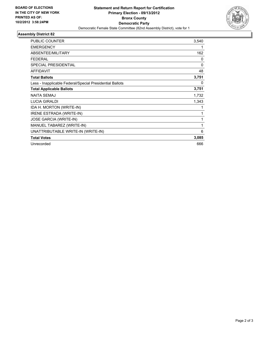

## **Assembly District 82**

| <b>PUBLIC COUNTER</b>                                    | 3,540 |
|----------------------------------------------------------|-------|
| <b>EMERGENCY</b>                                         |       |
| ABSENTEE/MILITARY                                        | 162   |
| <b>FEDERAL</b>                                           | 0     |
| <b>SPECIAL PRESIDENTIAL</b>                              | 0     |
| <b>AFFIDAVIT</b>                                         | 48    |
| <b>Total Ballots</b>                                     | 3,751 |
| Less - Inapplicable Federal/Special Presidential Ballots | 0     |
| <b>Total Applicable Ballots</b>                          | 3,751 |
| <b>NAITA SEMAJ</b>                                       | 1,732 |
| <b>LUCIA GIRALDI</b>                                     | 1,343 |
| IDA H. MORTON (WRITE-IN)                                 |       |
| <b>IRENE ESTRADA (WRITE-IN)</b>                          |       |
| <b>JOSE GARCIA (WRITE-IN)</b>                            |       |
| MANUEL TABAREZ (WRITE-IN)                                | 1     |
| UNATTRIBUTABLE WRITE-IN (WRITE-IN)                       | 6     |
| <b>Total Votes</b>                                       | 3,085 |
| Unrecorded                                               | 666   |